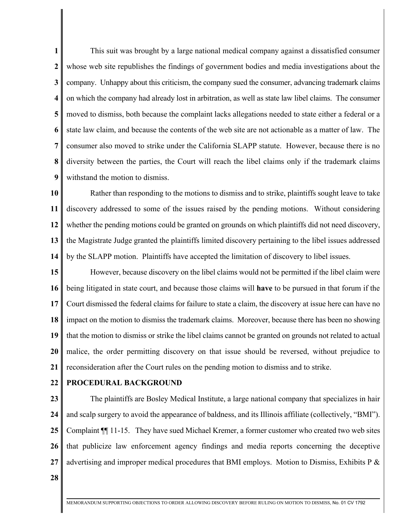**1 2 3 4 5 6 7 8 9** This suit was brought by a large national medical company against a dissatisfied consumer whose web site republishes the findings of government bodies and media investigations about the company. Unhappy about this criticism, the company sued the consumer, advancing trademark claims on which the company had already lost in arbitration, as well as state law libel claims. The consumer moved to dismiss, both because the complaint lacks allegations needed to state either a federal or a state law claim, and because the contents of the web site are not actionable as a matter of law. The consumer also moved to strike under the California SLAPP statute. However, because there is no diversity between the parties, the Court will reach the libel claims only if the trademark claims withstand the motion to dismiss.

**10 11 12 13 14** Rather than responding to the motions to dismiss and to strike, plaintiffs sought leave to take discovery addressed to some of the issues raised by the pending motions. Without considering whether the pending motions could be granted on grounds on which plaintiffs did not need discovery, the Magistrate Judge granted the plaintiffs limited discovery pertaining to the libel issues addressed by the SLAPP motion. Plaintiffs have accepted the limitation of discovery to libel issues.

**15 16 17 18 19 20 21** However, because discovery on the libel claims would not be permitted if the libel claim were being litigated in state court, and because those claims will **have** to be pursued in that forum if the Court dismissed the federal claims for failure to state a claim, the discovery at issue here can have no impact on the motion to dismiss the trademark claims. Moreover, because there has been no showing that the motion to dismiss or strike the libel claims cannot be granted on grounds not related to actual malice, the order permitting discovery on that issue should be reversed, without prejudice to reconsideration after the Court rules on the pending motion to dismiss and to strike.

**22**

### **PROCEDURAL BACKGROUND**

**23 24 25 26 27** The plaintiffs are Bosley Medical Institute, a large national company that specializes in hair and scalp surgery to avoid the appearance of baldness, and its Illinois affiliate (collectively, "BMI"). Complaint ¶¶ 11-15. They have sued Michael Kremer, a former customer who created two web sites that publicize law enforcement agency findings and media reports concerning the deceptive advertising and improper medical procedures that BMI employs. Motion to Dismiss, Exhibits P &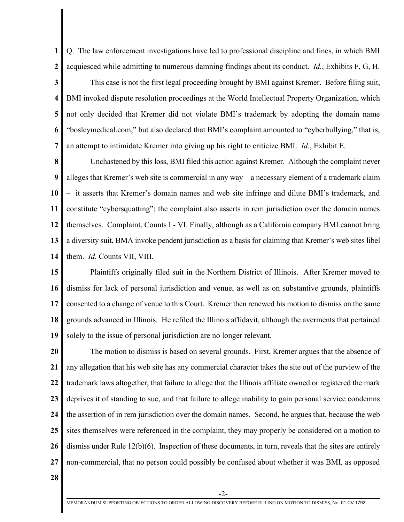**1 2** Q. The law enforcement investigations have led to professional discipline and fines, in which BMI acquiesced while admitting to numerous damning findings about its conduct. *Id.*, Exhibits F, G, H.

**3 4 5 6 7** This case is not the first legal proceeding brought by BMI against Kremer. Before filing suit, BMI invoked dispute resolution proceedings at the World Intellectual Property Organization, which not only decided that Kremer did not violate BMI's trademark by adopting the domain name "bosleymedical.com," but also declared that BMI's complaint amounted to "cyberbullying," that is, an attempt to intimidate Kremer into giving up his right to criticize BMI. *Id.*, Exhibit E.

**8 9 10 11 12 13 14** Unchastened by this loss, BMI filed this action against Kremer. Although the complaint never alleges that Kremer's web site is commercial in any way – a necessary element of a trademark claim – it asserts that Kremer's domain names and web site infringe and dilute BMI's trademark, and constitute "cybersquatting"; the complaint also asserts in rem jurisdiction over the domain names themselves. Complaint, Counts I - VI. Finally, although as a California company BMI cannot bring a diversity suit, BMA invoke pendent jurisdiction as a basis for claiming that Kremer's web sites libel them. *Id.* Counts VII, VIII.

**15 16 17 18 19** Plaintiffs originally filed suit in the Northern District of Illinois. After Kremer moved to dismiss for lack of personal jurisdiction and venue, as well as on substantive grounds, plaintiffs consented to a change of venue to this Court. Kremer then renewed his motion to dismiss on the same grounds advanced in Illinois. He refiled the Illinois affidavit, although the averments that pertained solely to the issue of personal jurisdiction are no longer relevant.

**20 21 22 23 24 25 26 27** The motion to dismiss is based on several grounds. First, Kremer argues that the absence of any allegation that his web site has any commercial character takes the site out of the purview of the trademark laws altogether, that failure to allege that the Illinois affiliate owned or registered the mark deprives it of standing to sue, and that failure to allege inability to gain personal service condemns the assertion of in rem jurisdiction over the domain names. Second, he argues that, because the web sites themselves were referenced in the complaint, they may properly be considered on a motion to dismiss under Rule 12(b)(6). Inspection of these documents, in turn, reveals that the sites are entirely non-commercial, that no person could possibly be confused about whether it was BMI, as opposed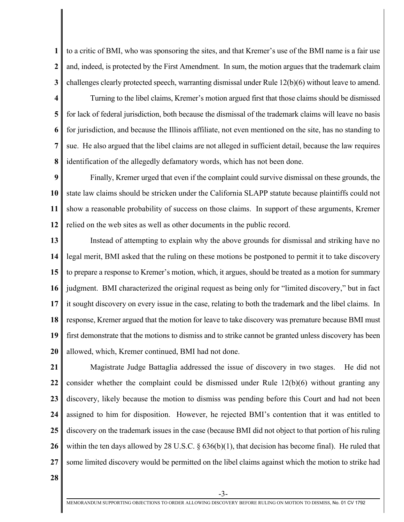**1 2 3** to a critic of BMI, who was sponsoring the sites, and that Kremer's use of the BMI name is a fair use and, indeed, is protected by the First Amendment. In sum, the motion argues that the trademark claim challenges clearly protected speech, warranting dismissal under Rule 12(b)(6) without leave to amend.

**4 5 6 7 8** Turning to the libel claims, Kremer's motion argued first that those claims should be dismissed for lack of federal jurisdiction, both because the dismissal of the trademark claims will leave no basis for jurisdiction, and because the Illinois affiliate, not even mentioned on the site, has no standing to sue. He also argued that the libel claims are not alleged in sufficient detail, because the law requires identification of the allegedly defamatory words, which has not been done.

**9 10 11 12** Finally, Kremer urged that even if the complaint could survive dismissal on these grounds, the state law claims should be stricken under the California SLAPP statute because plaintiffs could not show a reasonable probability of success on those claims. In support of these arguments, Kremer relied on the web sites as well as other documents in the public record.

**13 14 15 16 17 18 19 20** Instead of attempting to explain why the above grounds for dismissal and striking have no legal merit, BMI asked that the ruling on these motions be postponed to permit it to take discovery to prepare a response to Kremer's motion, which, it argues, should be treated as a motion for summary judgment. BMI characterized the original request as being only for "limited discovery," but in fact it sought discovery on every issue in the case, relating to both the trademark and the libel claims. In response, Kremer argued that the motion for leave to take discovery was premature because BMI must first demonstrate that the motions to dismiss and to strike cannot be granted unless discovery has been allowed, which, Kremer continued, BMI had not done.

**21 22 23 24 25 26 27** Magistrate Judge Battaglia addressed the issue of discovery in two stages. He did not consider whether the complaint could be dismissed under Rule  $12(b)(6)$  without granting any discovery, likely because the motion to dismiss was pending before this Court and had not been assigned to him for disposition. However, he rejected BMI's contention that it was entitled to discovery on the trademark issues in the case (because BMI did not object to that portion of his ruling within the ten days allowed by 28 U.S.C. § 636(b)(1), that decision has become final). He ruled that some limited discovery would be permitted on the libel claims against which the motion to strike had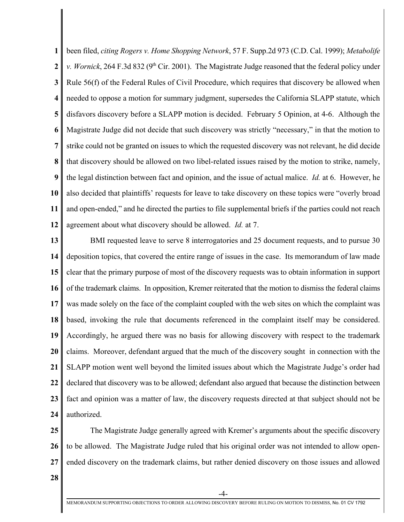**1 2 3 4 5 6 7 8 9 10 11 12** been filed, *citing Rogers v. Home Shopping Network*, 57 F. Supp.2d 973 (C.D. Cal. 1999); *Metabolife v. Wornick*, 264 F.3d 832 (9<sup>th</sup> Cir. 2001). The Magistrate Judge reasoned that the federal policy under Rule 56(f) of the Federal Rules of Civil Procedure, which requires that discovery be allowed when needed to oppose a motion for summary judgment, supersedes the California SLAPP statute, which disfavors discovery before a SLAPP motion is decided. February 5 Opinion, at 4-6. Although the Magistrate Judge did not decide that such discovery was strictly "necessary," in that the motion to strike could not be granted on issues to which the requested discovery was not relevant, he did decide that discovery should be allowed on two libel-related issues raised by the motion to strike, namely, the legal distinction between fact and opinion, and the issue of actual malice. *Id.* at 6. However, he also decided that plaintiffs' requests for leave to take discovery on these topics were "overly broad and open-ended," and he directed the parties to file supplemental briefs if the parties could not reach agreement about what discovery should be allowed. *Id.* at 7.

**13 14 15 16 17 18 19 20 21 22 23 24** BMI requested leave to serve 8 interrogatories and 25 document requests, and to pursue 30 deposition topics, that covered the entire range of issues in the case. Its memorandum of law made clear that the primary purpose of most of the discovery requests was to obtain information in support of the trademark claims. In opposition, Kremer reiterated that the motion to dismiss the federal claims was made solely on the face of the complaint coupled with the web sites on which the complaint was based, invoking the rule that documents referenced in the complaint itself may be considered. Accordingly, he argued there was no basis for allowing discovery with respect to the trademark claims. Moreover, defendant argued that the much of the discovery sought in connection with the SLAPP motion went well beyond the limited issues about which the Magistrate Judge's order had declared that discovery was to be allowed; defendant also argued that because the distinction between fact and opinion was a matter of law, the discovery requests directed at that subject should not be authorized.

**25 26 27** The Magistrate Judge generally agreed with Kremer's arguments about the specific discovery to be allowed. The Magistrate Judge ruled that his original order was not intended to allow openended discovery on the trademark claims, but rather denied discovery on those issues and allowed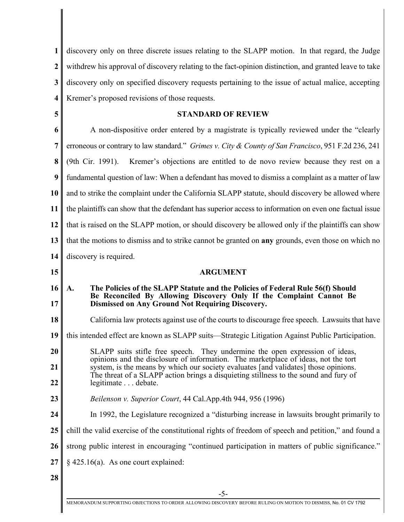| 1                       | discovery only on three discrete issues relating to the SLAPP motion. In that regard, the Judge                                                                                                                  |
|-------------------------|------------------------------------------------------------------------------------------------------------------------------------------------------------------------------------------------------------------|
| $\boldsymbol{2}$        | with drew his approval of discovery relating to the fact-opinion distinction, and granted leave to take                                                                                                          |
| 3                       | discovery only on specified discovery requests pertaining to the issue of actual malice, accepting                                                                                                               |
| $\overline{\mathbf{4}}$ | Kremer's proposed revisions of those requests.                                                                                                                                                                   |
| 5                       | <b>STANDARD OF REVIEW</b>                                                                                                                                                                                        |
| 6                       | A non-dispositive order entered by a magistrate is typically reviewed under the "clearly"                                                                                                                        |
| 7                       | erroneous or contrary to law standard." Grimes v. City & County of San Francisco, 951 F.2d 236, 241                                                                                                              |
| 8                       | (9th Cir. 1991).<br>Kremer's objections are entitled to de novo review because they rest on a                                                                                                                    |
| 9                       | fundamental question of law: When a defendant has moved to dismiss a complaint as a matter of law                                                                                                                |
| 10                      | and to strike the complaint under the California SLAPP statute, should discovery be allowed where                                                                                                                |
| 11                      | the plaintiffs can show that the defendant has superior access to information on even one factual issue                                                                                                          |
| 12                      | that is raised on the SLAPP motion, or should discovery be allowed only if the plaintiffs can show                                                                                                               |
| 13                      | that the motions to dismiss and to strike cannot be granted on any grounds, even those on which no                                                                                                               |
| 14                      | discovery is required.                                                                                                                                                                                           |
|                         |                                                                                                                                                                                                                  |
| 15                      | <b>ARGUMENT</b>                                                                                                                                                                                                  |
| 16<br>17                | The Policies of the SLAPP Statute and the Policies of Federal Rule 56(f) Should<br>A.<br>Be Reconciled By Allowing Discovery Only If the Complaint Cannot Be<br>Dismissed on Any Ground Not Requiring Discovery. |
| 18                      | California law protects against use of the courts to discourage free speech. Lawsuits that have                                                                                                                  |
|                         | this intended effect are known as SLAPP suits-Strategic Litigation Against Public Participation.                                                                                                                 |
|                         | SLAPP suits stifle free speech. They undermine the open expression of ideas,                                                                                                                                     |
| 19<br>20<br>21          | opinions and the disclosure of information. The marketplace of ideas, not the tort<br>system, is the means by which our society evaluates [and validates] those opinions.                                        |
| 22                      | The threat of a SLAPP action brings a disquieting stillness to the sound and fury of<br>legitimate debate.                                                                                                       |
| 23                      | Beilenson v. Superior Court, 44 Cal.App.4th 944, 956 (1996)                                                                                                                                                      |
| 24                      | In 1992, the Legislature recognized a "disturbing increase in lawsuits brought primarily to                                                                                                                      |
| 25                      | chill the valid exercise of the constitutional rights of freedom of speech and petition," and found a                                                                                                            |
| 26                      | strong public interest in encouraging "continued participation in matters of public significance."                                                                                                               |
| 27                      | $§$ 425.16(a). As one court explained:                                                                                                                                                                           |
| 28                      |                                                                                                                                                                                                                  |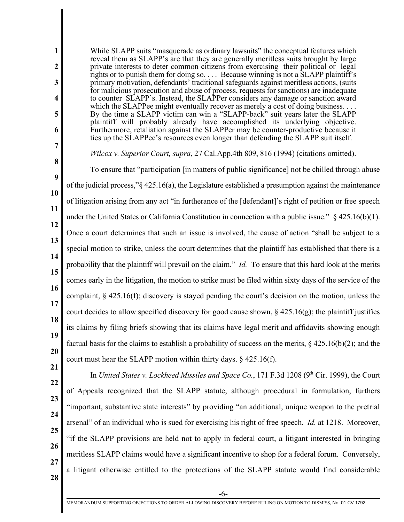**1 2 3 4 5 6 7 8 9 10 11 12 13 14 15 16 17 18 19 20 21 22 23 24 25 26 27 28** While SLAPP suits "masquerade as ordinary lawsuits" the conceptual features which reveal them as SLAPP's are that they are generally meritless suits brought by large private interests to deter common citizens from exercising their political or legal rights or to punish them for doing so. . . . Because winning is not a SLAPP plaintiff's primary motivation, defendants' traditional safeguards against meritless actions, (suits for malicious prosecution and abuse of process, requests for sanctions) are inadequate to counter SLAPP's. Instead, the SLAPPer considers any damage or sanction award which the SLAPPee might eventually recover as merely a cost of doing business. . . . By the time a SLAPP victim can win a "SLAPP-back" suit years later the SLAPP plaintiff will probably already have accomplished its underlying objective. Furthermore, retaliation against the SLAPPer may be counter-productive because it ties up the SLAPPee's resources even longer than defending the SLAPP suit itself. *Wilcox v. Superior Court, supra*, 27 Cal.App.4th 809, 816 (1994) (citations omitted). To ensure that "participation [in matters of public significance] not be chilled through abuse of the judicial process,"§ 425.16(a), the Legislature established a presumption against the maintenance of litigation arising from any act "in furtherance of the [defendant]'s right of petition or free speech under the United States or California Constitution in connection with a public issue."  $\frac{2425.16(b)(1)}{245.16(b)(1)}$ . Once a court determines that such an issue is involved, the cause of action "shall be subject to a special motion to strike, unless the court determines that the plaintiff has established that there is a probability that the plaintiff will prevail on the claim." *Id.* To ensure that this hard look at the merits comes early in the litigation, the motion to strike must be filed within sixty days of the service of the complaint, § 425.16(f); discovery is stayed pending the court's decision on the motion, unless the court decides to allow specified discovery for good cause shown,  $\S$  425.16(g); the plaintiff justifies its claims by filing briefs showing that its claims have legal merit and affidavits showing enough factual basis for the claims to establish a probability of success on the merits, § 425.16(b)(2); and the court must hear the SLAPP motion within thirty days. § 425.16(f). In *United States v. Lockheed Missiles and Space Co.*, 171 F.3d 1208 (9<sup>th</sup> Cir. 1999), the Court of Appeals recognized that the SLAPP statute, although procedural in formulation, furthers "important, substantive state interests" by providing "an additional, unique weapon to the pretrial arsenal" of an individual who is sued for exercising his right of free speech. *Id.* at 1218. Moreover, "if the SLAPP provisions are held not to apply in federal court, a litigant interested in bringing meritless SLAPP claims would have a significant incentive to shop for a federal forum. Conversely, a litigant otherwise entitled to the protections of the SLAPP statute would find considerable

-6-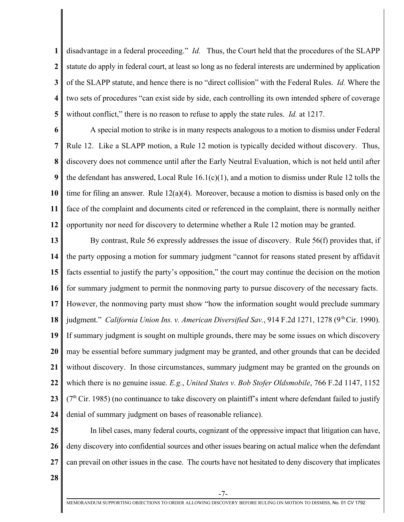**1 2 3 4 5** disadvantage in a federal proceeding." *Id.* Thus, the Court held that the procedures of the SLAPP statute do apply in federal court, at least so long as no federal interests are undermined by application of the SLAPP statute, and hence there is no "direct collision" with the Federal Rules. *Id.* Where the two sets of procedures "can exist side by side, each controlling its own intended sphere of coverage without conflict," there is no reason to refuse to apply the state rules. *Id.* at 1217.

**6 7 8 9 10 11 12** A special motion to strike is in many respects analogous to a motion to dismiss under Federal Rule 12. Like a SLAPP motion, a Rule 12 motion is typically decided without discovery. Thus, discovery does not commence until after the Early Neutral Evaluation, which is not held until after the defendant has answered, Local Rule  $16.1(c)(1)$ , and a motion to dismiss under Rule 12 tolls the time for filing an answer. Rule  $12(a)(4)$ . Moreover, because a motion to dismiss is based only on the face of the complaint and documents cited or referenced in the complaint, there is normally neither opportunity nor need for discovery to determine whether a Rule 12 motion may be granted.

**13 14 15 16 17 18 19 20 21 22 23 24** By contrast, Rule 56 expressly addresses the issue of discovery. Rule 56(f) provides that, if the party opposing a motion for summary judgment "cannot for reasons stated present by affidavit facts essential to justify the party's opposition," the court may continue the decision on the motion for summary judgment to permit the nonmoving party to pursue discovery of the necessary facts. However, the nonmoving party must show "how the information sought would preclude summary judgment." *California Union Ins. v. American Diversified Sav.*, 914 F.2d 1271, 1278 (9<sup>th</sup> Cir. 1990). If summary judgment is sought on multiple grounds, there may be some issues on which discovery may be essential before summary judgment may be granted, and other grounds that can be decided without discovery. In those circumstances, summary judgment may be granted on the grounds on which there is no genuine issue. *E.g.*, *United States v. Bob Stofer Oldsmobile*, 766 F.2d 1147, 1152  $(7<sup>th</sup> Cir. 1985)$  (no continuance to take discovery on plaintiff's intent where defendant failed to justify denial of summary judgment on bases of reasonable reliance).

**25 26 27** In libel cases, many federal courts, cognizant of the oppressive impact that litigation can have, deny discovery into confidential sources and other issues bearing on actual malice when the defendant can prevail on other issues in the case. The courts have not hesitated to deny discovery that implicates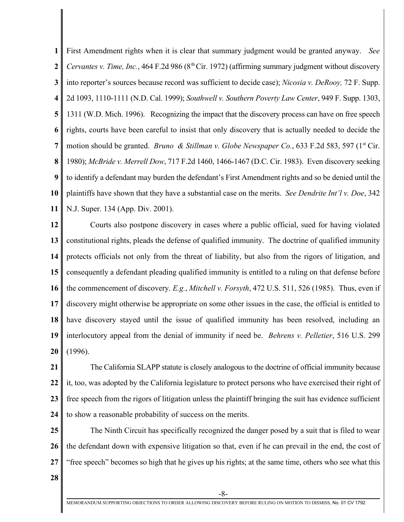**1 2 3 4 5 6 7 8 9 10 11** First Amendment rights when it is clear that summary judgment would be granted anyway. *See Cervantes v. Time, Inc.*, 464 F.2d 986 ( $8<sup>th</sup> Cir.$  1972) (affirming summary judgment without discovery into reporter's sources because record was sufficient to decide case); *Nicosia v. DeRooy,* 72 F. Supp. 2d 1093, 1110-1111 (N.D. Cal. 1999); *Southwell v. Southern Poverty Law Center*, 949 F. Supp. 1303, 1311 (W.D. Mich. 1996). Recognizing the impact that the discovery process can have on free speech rights, courts have been careful to insist that only discovery that is actually needed to decide the motion should be granted. *Bruno & Stillman v. Globe Newspaper Co.*, 633 F.2d 583, 597 (1<sup>st</sup> Cir. 1980); *McBride v. Merrell Dow*, 717 F.2d 1460, 1466-1467 (D.C. Cir. 1983). Even discovery seeking to identify a defendant may burden the defendant's First Amendment rights and so be denied until the plaintiffs have shown that they have a substantial case on the merits. *See Dendrite Int'l v. Doe*, 342 N.J. Super. 134 (App. Div. 2001).

**12 13 14 15 16 17 18 19 20** Courts also postpone discovery in cases where a public official, sued for having violated constitutional rights, pleads the defense of qualified immunity. The doctrine of qualified immunity protects officials not only from the threat of liability, but also from the rigors of litigation, and consequently a defendant pleading qualified immunity is entitled to a ruling on that defense before the commencement of discovery. *E.g.*, *Mitchell v. Forsyth*, 472 U.S. 511, 526 (1985). Thus, even if discovery might otherwise be appropriate on some other issues in the case, the official is entitled to have discovery stayed until the issue of qualified immunity has been resolved, including an interlocutory appeal from the denial of immunity if need be. *Behrens v. Pelletier*, 516 U.S. 299 (1996).

**21 22 23 24** The California SLAPP statute is closely analogous to the doctrine of official immunity because it, too, was adopted by the California legislature to protect persons who have exercised their right of free speech from the rigors of litigation unless the plaintiff bringing the suit has evidence sufficient to show a reasonable probability of success on the merits.

**25 26 27** The Ninth Circuit has specifically recognized the danger posed by a suit that is filed to wear the defendant down with expensive litigation so that, even if he can prevail in the end, the cost of "free speech" becomes so high that he gives up his rights; at the same time, others who see what this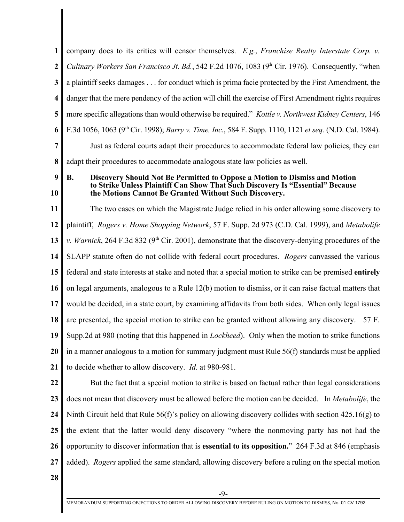**1 2 3 4 5 6 7 8** company does to its critics will censor themselves. *E.g.*, *Franchise Realty Interstate Corp. v. Culinary Workers San Francisco Jt. Bd.*, 542 F.2d 1076, 1083 (9<sup>th</sup> Cir. 1976). Consequently, "when a plaintiff seeks damages . . . for conduct which is prima facie protected by the First Amendment, the danger that the mere pendency of the action will chill the exercise of First Amendment rights requires more specific allegations than would otherwise be required." *Kottle v. Northwest Kidney Centers*, 146 F.3d 1056, 1063 (9<sup>th</sup> Cir. 1998); *Barry v. Time, Inc.*, 584 F. Supp. 1110, 1121 *et seq.* (N.D. Cal. 1984). Just as federal courts adapt their procedures to accommodate federal law policies, they can adapt their procedures to accommodate analogous state law policies as well.

**9 10**

#### **B. Discovery Should Not Be Permitted to Oppose a Motion to Dismiss and Motion to Strike Unless Plaintiff Can Show That Such Discovery Is "Essential" Because the Motions Cannot Be Granted Without Such Discovery.**

**11 12 13 14 15 16 17 18 19 20 21** The two cases on which the Magistrate Judge relied in his order allowing some discovery to plaintiff, *Rogers v. Home Shopping Network*, 57 F. Supp. 2d 973 (C.D. Cal. 1999), and *Metabolife v. Warnick*, 264 F.3d 832 ( $9<sup>th</sup>$  Cir. 2001), demonstrate that the discovery-denying procedures of the SLAPP statute often do not collide with federal court procedures. *Rogers* canvassed the various federal and state interests at stake and noted that a special motion to strike can be premised **entirely** on legal arguments, analogous to a Rule 12(b) motion to dismiss, or it can raise factual matters that would be decided, in a state court, by examining affidavits from both sides. When only legal issues are presented, the special motion to strike can be granted without allowing any discovery. 57 F. Supp.2d at 980 (noting that this happened in *Lockheed*). Only when the motion to strike functions in a manner analogous to a motion for summary judgment must Rule 56(f) standards must be applied to decide whether to allow discovery. *Id.* at 980-981.

**22 23 24 25 26 27** But the fact that a special motion to strike is based on factual rather than legal considerations does not mean that discovery must be allowed before the motion can be decided. In *Metabolife*, the Ninth Circuit held that Rule 56(f)'s policy on allowing discovery collides with section 425.16(g) to the extent that the latter would deny discovery "where the nonmoving party has not had the opportunity to discover information that is **essential to its opposition.**" 264 F.3d at 846 (emphasis added). *Rogers* applied the same standard, allowing discovery before a ruling on the special motion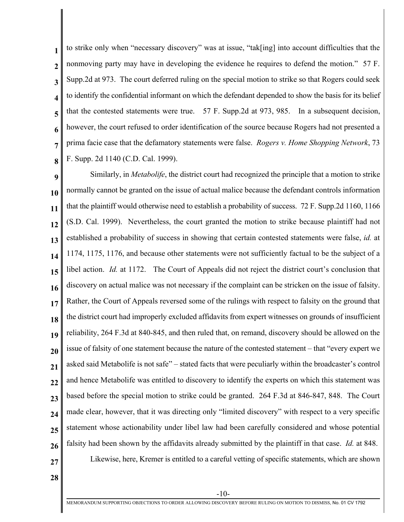**1 2 3 4 5 6 7 8** to strike only when "necessary discovery" was at issue, "tak[ing] into account difficulties that the nonmoving party may have in developing the evidence he requires to defend the motion." 57 F. Supp.2d at 973. The court deferred ruling on the special motion to strike so that Rogers could seek to identify the confidential informant on which the defendant depended to show the basis for its belief that the contested statements were true. 57 F. Supp.2d at 973, 985. In a subsequent decision, however, the court refused to order identification of the source because Rogers had not presented a prima facie case that the defamatory statements were false. *Rogers v. Home Shopping Network*, 73 F. Supp. 2d 1140 (C.D. Cal. 1999).

**9 10 11 12 13 14 15 16 17 18 19 20 21 22 23 24 25 26 27** Similarly, in *Metabolife*, the district court had recognized the principle that a motion to strike normally cannot be granted on the issue of actual malice because the defendant controls information that the plaintiff would otherwise need to establish a probability of success. 72 F. Supp.2d 1160, 1166 (S.D. Cal. 1999). Nevertheless, the court granted the motion to strike because plaintiff had not established a probability of success in showing that certain contested statements were false, *id.* at 1174, 1175, 1176, and because other statements were not sufficiently factual to be the subject of a libel action. *Id.* at 1172. The Court of Appeals did not reject the district court's conclusion that discovery on actual malice was not necessary if the complaint can be stricken on the issue of falsity. Rather, the Court of Appeals reversed some of the rulings with respect to falsity on the ground that the district court had improperly excluded affidavits from expert witnesses on grounds of insufficient reliability, 264 F.3d at 840-845, and then ruled that, on remand, discovery should be allowed on the issue of falsity of one statement because the nature of the contested statement – that "every expert we asked said Metabolife is not safe" – stated facts that were peculiarly within the broadcaster's control and hence Metabolife was entitled to discovery to identify the experts on which this statement was based before the special motion to strike could be granted. 264 F.3d at 846-847, 848. The Court made clear, however, that it was directing only "limited discovery" with respect to a very specific statement whose actionability under libel law had been carefully considered and whose potential falsity had been shown by the affidavits already submitted by the plaintiff in that case. *Id.* at 848. Likewise, here, Kremer is entitled to a careful vetting of specific statements, which are shown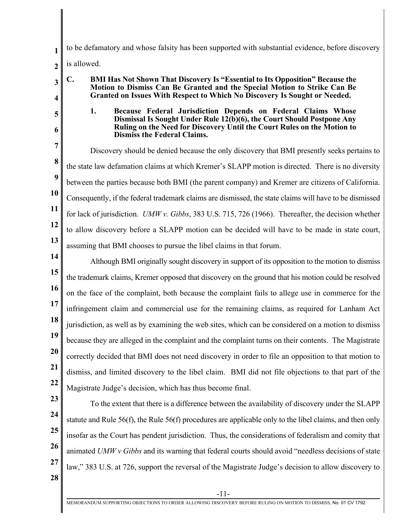to be defamatory and whose falsity has been supported with substantial evidence, before discovery is allowed.

**Motion to Dismiss Can Be Granted and the Special Motion to Strike Can Be Granted on Issues With Respect to Which No Discovery Is Sought or Needed.**

**C. BMI Has Not Shown That Discovery Is "Essential to Its Opposition" Because the**

## **2**

# **4 5**

**3**

**1**

**6**

### **1. Because Federal Jurisdiction Depends on Federal Claims Whose Dismissal Is Sought Under Rule 12(b)(6), the Court Should Postpone Any Ruling on the Need for Discovery Until the Court Rules on the Motion to Dismiss the Federal Claims.**

**7 8 9 10 11 12 13** Discovery should be denied because the only discovery that BMI presently seeks pertains to the state law defamation claims at which Kremer's SLAPP motion is directed. There is no diversity between the parties because both BMI (the parent company) and Kremer are citizens of California. Consequently, if the federal trademark claims are dismissed, the state claims will have to be dismissed for lack of jurisdiction. *UMW v. Gibbs*, 383 U.S. 715, 726 (1966). Thereafter, the decision whether to allow discovery before a SLAPP motion can be decided will have to be made in state court, assuming that BMI chooses to pursue the libel claims in that forum.

**14 15 16 17 18 19 20 21 22** Although BMI originally sought discovery in support of its opposition to the motion to dismiss the trademark claims, Kremer opposed that discovery on the ground that his motion could be resolved on the face of the complaint, both because the complaint fails to allege use in commerce for the infringement claim and commercial use for the remaining claims, as required for Lanham Act jurisdiction, as well as by examining the web sites, which can be considered on a motion to dismiss because they are alleged in the complaint and the complaint turns on their contents. The Magistrate correctly decided that BMI does not need discovery in order to file an opposition to that motion to dismiss, and limited discovery to the libel claim. BMI did not file objections to that part of the Magistrate Judge's decision, which has thus become final.

- **23**
- **24 25**

**26**

**27**

To the extent that there is a difference between the availability of discovery under the SLAPP statute and Rule 56(f), the Rule 56(f) procedures are applicable only to the libel claims, and then only insofar as the Court has pendent jurisdiction. Thus, the considerations of federalism and comity that animated *UMW v Gibbs* and its warning that federal courts should avoid "needless decisions of state law," 383 U.S. at 726, support the reversal of the Magistrate Judge's decision to allow discovery to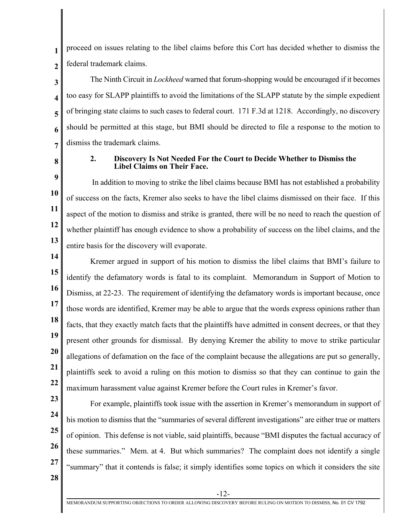**1 2** proceed on issues relating to the libel claims before this Cort has decided whether to dismiss the federal trademark claims.

**3 4 5 6 7** The Ninth Circuit in *Lockheed* warned that forum-shopping would be encouraged if it becomes too easy for SLAPP plaintiffs to avoid the limitations of the SLAPP statute by the simple expedient of bringing state claims to such cases to federal court. 171 F.3d at 1218. Accordingly, no discovery should be permitted at this stage, but BMI should be directed to file a response to the motion to dismiss the trademark claims.

**8**

### **2. Discovery Is Not Needed For the Court to Decide Whether to Dismiss the Libel Claims on Their Face.**

**9 10 11 12 13** In addition to moving to strike the libel claims because BMI has not established a probability of success on the facts, Kremer also seeks to have the libel claims dismissed on their face. If this aspect of the motion to dismiss and strike is granted, there will be no need to reach the question of whether plaintiff has enough evidence to show a probability of success on the libel claims, and the entire basis for the discovery will evaporate.

**14 15 16 17 18 19 20 21 22** Kremer argued in support of his motion to dismiss the libel claims that BMI's failure to identify the defamatory words is fatal to its complaint. Memorandum in Support of Motion to Dismiss, at 22-23. The requirement of identifying the defamatory words is important because, once those words are identified, Kremer may be able to argue that the words express opinions rather than facts, that they exactly match facts that the plaintiffs have admitted in consent decrees, or that they present other grounds for dismissal. By denying Kremer the ability to move to strike particular allegations of defamation on the face of the complaint because the allegations are put so generally, plaintiffs seek to avoid a ruling on this motion to dismiss so that they can continue to gain the maximum harassment value against Kremer before the Court rules in Kremer's favor.

- **23**
- **24 25**

**26**

**27**

For example, plaintiffs took issue with the assertion in Kremer's memorandum in support of his motion to dismiss that the "summaries of several different investigations" are either true or matters of opinion. This defense is not viable, said plaintiffs, because "BMI disputes the factual accuracy of these summaries." Mem. at 4. But which summaries? The complaint does not identify a single "summary" that it contends is false; it simply identifies some topics on which it considers the site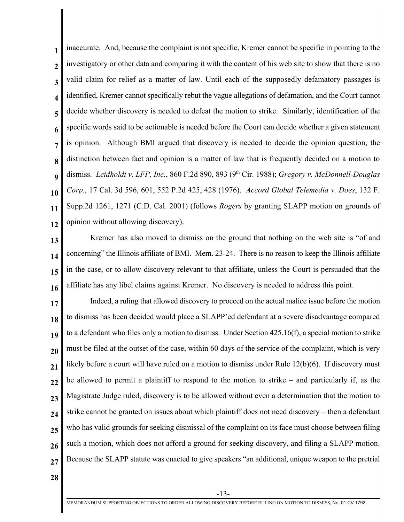**1 2 3 4 5 6 7 8 9 10 11 12** inaccurate. And, because the complaint is not specific, Kremer cannot be specific in pointing to the investigatory or other data and comparing it with the content of his web site to show that there is no valid claim for relief as a matter of law. Until each of the supposedly defamatory passages is identified, Kremer cannot specifically rebut the vague allegations of defamation, and the Court cannot decide whether discovery is needed to defeat the motion to strike. Similarly, identification of the specific words said to be actionable is needed before the Court can decide whether a given statement is opinion. Although BMI argued that discovery is needed to decide the opinion question, the distinction between fact and opinion is a matter of law that is frequently decided on a motion to dismiss. *Leidholdt v. LFP, Inc.*, 860 F.2d 890, 893 (9<sup>th</sup> Cir. 1988); *Gregory v. McDonnell-Douglas Corp.*, 17 Cal. 3d 596, 601, 552 P.2d 425, 428 (1976). *Accord Global Telemedia v. Does*, 132 F. Supp.2d 1261, 1271 (C.D. Cal. 2001) (follows *Rogers* by granting SLAPP motion on grounds of opinion without allowing discovery).

**13 14 15 16** Kremer has also moved to dismiss on the ground that nothing on the web site is "of and concerning" the Illinois affiliate of BMI. Mem. 23-24. There is no reason to keep the Illinois affiliate in the case, or to allow discovery relevant to that affiliate, unless the Court is persuaded that the affiliate has any libel claims against Kremer. No discovery is needed to address this point.

**17 18 19 20 21 22 23 24 25 26 27** Indeed, a ruling that allowed discovery to proceed on the actual malice issue before the motion to dismiss has been decided would place a SLAPP'ed defendant at a severe disadvantage compared to a defendant who files only a motion to dismiss. Under Section 425.16(f), a special motion to strike must be filed at the outset of the case, within 60 days of the service of the complaint, which is very likely before a court will have ruled on a motion to dismiss under Rule 12(b)(6). If discovery must be allowed to permit a plaintiff to respond to the motion to strike – and particularly if, as the Magistrate Judge ruled, discovery is to be allowed without even a determination that the motion to strike cannot be granted on issues about which plaintiff does not need discovery – then a defendant who has valid grounds for seeking dismissal of the complaint on its face must choose between filing such a motion, which does not afford a ground for seeking discovery, and filing a SLAPP motion. Because the SLAPP statute was enacted to give speakers "an additional, unique weapon to the pretrial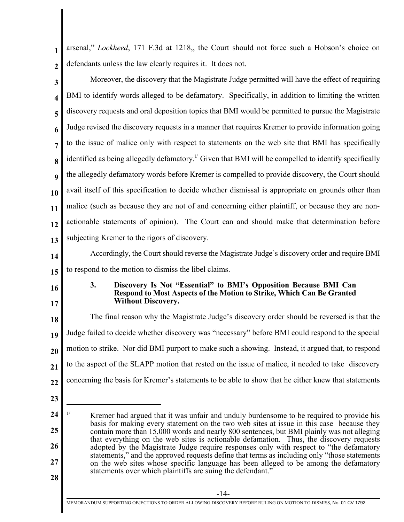| 1 arsenal," Lockheed, 171 F.3d at 1218, the Court should not force such a Hobson's choice on |
|----------------------------------------------------------------------------------------------|
| $2 \parallel$ defendants unless the law clearly requires it. It does not.                    |

| 3                | Moreover, the discovery that the Magistrate Judge permitted will have the effect of requiring                                           |
|------------------|-----------------------------------------------------------------------------------------------------------------------------------------|
|                  | BMI to identify words alleged to be defamatory. Specifically, in addition to limiting the written                                       |
|                  | discovery requests and oral deposition topics that BMI would be permitted to pursue the Magistrate                                      |
|                  | Judge revised the discovery requests in a manner that requires Kremer to provide information going                                      |
|                  | to the issue of malice only with respect to statements on the web site that BMI has specifically                                        |
| 8                | identified as being allegedly defamatory. <sup><math>\frac{1}{2}</math></sup> Given that BMI will be compelled to identify specifically |
| $\mathbf Q$      | the allegedly defamatory words before Kremer is compelled to provide discovery, the Court should                                        |
| 10               | avail itself of this specification to decide whether dismissal is appropriate on grounds other than                                     |
| 11               | malice (such as because they are not of and concerning either plaintiff, or because they are non-                                       |
| 12               | actionable statements of opinion). The Court can and should make that determination before                                              |
| 13 <sup>13</sup> | subjecting Kremer to the rigors of discovery.                                                                                           |

- **14 15** Accordingly, the Court should reverse the Magistrate Judge's discovery order and require BMI to respond to the motion to dismiss the libel claims.
- **16**

**17**

### **3. Discovery Is Not "Essential" to BMI's Opposition Because BMI Can Respond to Most Aspects of the Motion to Strike, Which Can Be Granted Without Discovery.**

**18 19 20 21 22** The final reason why the Magistrate Judge's discovery order should be reversed is that the Judge failed to decide whether discovery was "necessary" before BMI could respond to the special motion to strike. Nor did BMI purport to make such a showing. Instead, it argued that, to respond to the aspect of the SLAPP motion that rested on the issue of malice, it needed to take discovery concerning the basis for Kremer's statements to be able to show that he either knew that statements

**<sup>24</sup> 25 26 27 28** Extembrary Kremer had argued that it was unfair and unduly burdensome to be required to provide his basis for making every statement on the two web sites at issue in this case because they contain more than 15,000 words and nearly 800 sentences, but BMI plainly was not alleging that everything on the web sites is actionable defamation. Thus, the discovery requests adopted by the Magistrate Judge require responses only with respect to "the defamatory statements," and the approved requests define that terms as including only "those statements on the web sites whose specific language has been alleged to be among the defamatory statements over which plaintiffs are suing the defendant."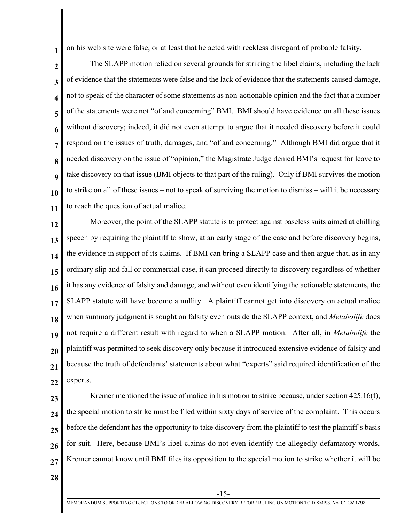on his web site were false, or at least that he acted with reckless disregard of probable falsity.

**2 3 4 5 6 7 8 9 10 11** The SLAPP motion relied on several grounds for striking the libel claims, including the lack of evidence that the statements were false and the lack of evidence that the statements caused damage, not to speak of the character of some statements as non-actionable opinion and the fact that a number of the statements were not "of and concerning" BMI. BMI should have evidence on all these issues without discovery; indeed, it did not even attempt to argue that it needed discovery before it could respond on the issues of truth, damages, and "of and concerning." Although BMI did argue that it needed discovery on the issue of "opinion," the Magistrate Judge denied BMI's request for leave to take discovery on that issue (BMI objects to that part of the ruling). Only if BMI survives the motion to strike on all of these issues – not to speak of surviving the motion to dismiss – will it be necessary to reach the question of actual malice.

**12 13 14 15 16 17 18 19 20 21 22** Moreover, the point of the SLAPP statute is to protect against baseless suits aimed at chilling speech by requiring the plaintiff to show, at an early stage of the case and before discovery begins, the evidence in support of its claims. If BMI can bring a SLAPP case and then argue that, as in any ordinary slip and fall or commercial case, it can proceed directly to discovery regardless of whether it has any evidence of falsity and damage, and without even identifying the actionable statements, the SLAPP statute will have become a nullity. A plaintiff cannot get into discovery on actual malice when summary judgment is sought on falsity even outside the SLAPP context, and *Metabolife* does not require a different result with regard to when a SLAPP motion. After all, in *Metabolife* the plaintiff was permitted to seek discovery only because it introduced extensive evidence of falsity and because the truth of defendants' statements about what "experts" said required identification of the experts.

**23**

**1**

**24 25 26 27** Kremer mentioned the issue of malice in his motion to strike because, under section 425.16(f), the special motion to strike must be filed within sixty days of service of the complaint. This occurs before the defendant has the opportunity to take discovery from the plaintiff to test the plaintiff's basis for suit. Here, because BMI's libel claims do not even identify the allegedly defamatory words, Kremer cannot know until BMI files its opposition to the special motion to strike whether it will be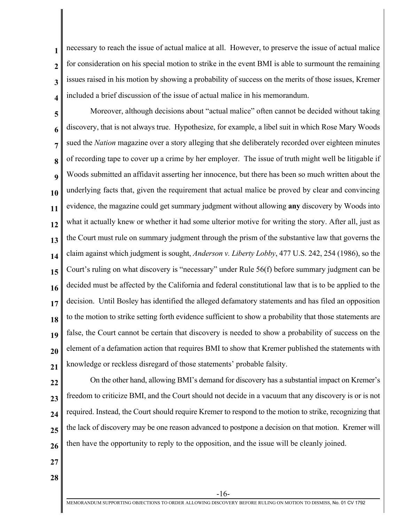**2 3 4** necessary to reach the issue of actual malice at all. However, to preserve the issue of actual malice for consideration on his special motion to strike in the event BMI is able to surmount the remaining issues raised in his motion by showing a probability of success on the merits of those issues, Kremer included a brief discussion of the issue of actual malice in his memorandum.

**5 6 7 8 9 10 11 12 13 14 15 16 17 18 19 20 21** Moreover, although decisions about "actual malice" often cannot be decided without taking discovery, that is not always true. Hypothesize, for example, a libel suit in which Rose Mary Woods sued the *Nation* magazine over a story alleging that she deliberately recorded over eighteen minutes of recording tape to cover up a crime by her employer. The issue of truth might well be litigable if Woods submitted an affidavit asserting her innocence, but there has been so much written about the underlying facts that, given the requirement that actual malice be proved by clear and convincing evidence, the magazine could get summary judgment without allowing **any** discovery by Woods into what it actually knew or whether it had some ulterior motive for writing the story. After all, just as the Court must rule on summary judgment through the prism of the substantive law that governs the claim against which judgment is sought, *Anderson v. Liberty Lobby*, 477 U.S. 242, 254 (1986), so the Court's ruling on what discovery is "necessary" under Rule 56(f) before summary judgment can be decided must be affected by the California and federal constitutional law that is to be applied to the decision. Until Bosley has identified the alleged defamatory statements and has filed an opposition to the motion to strike setting forth evidence sufficient to show a probability that those statements are false, the Court cannot be certain that discovery is needed to show a probability of success on the element of a defamation action that requires BMI to show that Kremer published the statements with knowledge or reckless disregard of those statements' probable falsity.

**22 23 24 25 26** On the other hand, allowing BMI's demand for discovery has a substantial impact on Kremer's freedom to criticize BMI, and the Court should not decide in a vacuum that any discovery is or is not required. Instead, the Court should require Kremer to respond to the motion to strike, recognizing that the lack of discovery may be one reason advanced to postpone a decision on that motion. Kremer will then have the opportunity to reply to the opposition, and the issue will be cleanly joined.

**27**

**1**